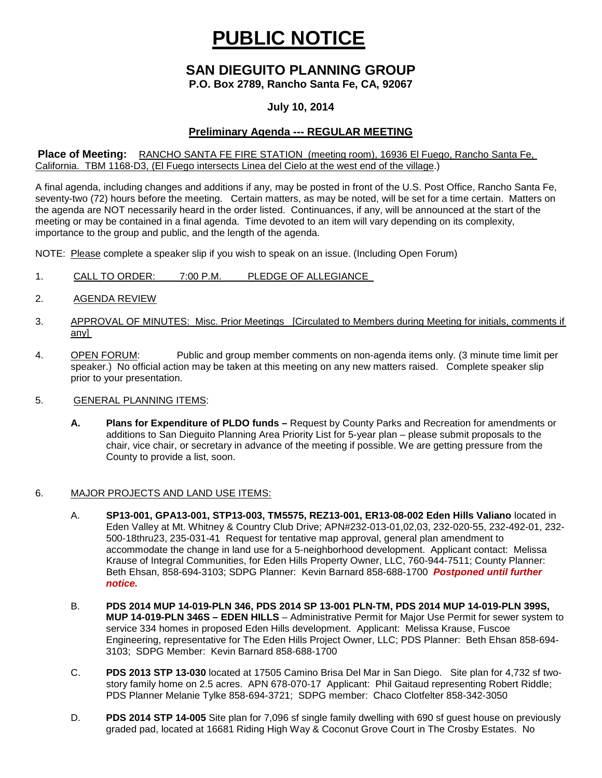# **PUBLIC NOTICE**

# **SAN DIEGUITO PLANNING GROUP**

**P.O. Box 2789, Rancho Santa Fe, CA, 92067**

## **July 10, 2014**

# **Preliminary Agenda --- REGULAR MEETING**

#### **Place of Meeting:** RANCHO SANTA FE FIRE STATION (meeting room), 16936 El Fuego, Rancho Santa Fe, California. TBM 1168-D3, (El Fuego intersects Linea del Cielo at the west end of the village.)

A final agenda, including changes and additions if any, may be posted in front of the U.S. Post Office, Rancho Santa Fe, seventy-two (72) hours before the meeting. Certain matters, as may be noted, will be set for a time certain. Matters on the agenda are NOT necessarily heard in the order listed. Continuances, if any, will be announced at the start of the meeting or may be contained in a final agenda. Time devoted to an item will vary depending on its complexity, importance to the group and public, and the length of the agenda.

NOTE: Please complete a speaker slip if you wish to speak on an issue. (Including Open Forum)

- 1. CALL TO ORDER: 7:00 P.M. PLEDGE OF ALLEGIANCE
- 2. AGENDA REVIEW
- 3. APPROVAL OF MINUTES: Misc. Prior Meetings [Circulated to Members during Meeting for initials, comments if any]
- 4. OPEN FORUM: Public and group member comments on non-agenda items only. (3 minute time limit per speaker.) No official action may be taken at this meeting on any new matters raised. Complete speaker slip prior to your presentation.
- 5. GENERAL PLANNING ITEMS:
	- **A. Plans for Expenditure of PLDO funds –** Request by County Parks and Recreation for amendments or additions to San Dieguito Planning Area Priority List for 5-year plan – please submit proposals to the chair, vice chair, or secretary in advance of the meeting if possible. We are getting pressure from the County to provide a list, soon.

### 6. MAJOR PROJECTS AND LAND USE ITEMS:

- A. **SP13-001, GPA13-001, STP13-003, TM5575, REZ13-001, ER13-08-002 Eden Hills Valiano** located in Eden Valley at Mt. Whitney & Country Club Drive; APN#232-013-01,02,03, 232-020-55, 232-492-01, 232- 500-18thru23, 235-031-41 Request for tentative map approval, general plan amendment to accommodate the change in land use for a 5-neighborhood development. Applicant contact: Melissa Krause of Integral Communities, for Eden Hills Property Owner, LLC, 760-944-7511; County Planner: Beth Ehsan, 858-694-3103; SDPG Planner: Kevin Barnard 858-688-1700 *Postponed until further notice.*
- B. **PDS 2014 MUP 14-019-PLN 346, PDS 2014 SP 13-001 PLN-TM, PDS 2014 MUP 14-019-PLN 399S, MUP 14-019-PLN 346S – EDEN HILLS** – Administrative Permit for Major Use Permit for sewer system to service 334 homes in proposed Eden Hills development. Applicant: Melissa Krause, Fuscoe Engineering, representative for The Eden Hills Project Owner, LLC; PDS Planner: Beth Ehsan 858-694- 3103; SDPG Member: Kevin Barnard 858-688-1700
- C. **PDS 2013 STP 13-030** located at 17505 Camino Brisa Del Mar in San Diego. Site plan for 4,732 sf twostory family home on 2.5 acres. APN 678-070-17 Applicant: Phil Gaitaud representing Robert Riddle; PDS Planner Melanie Tylke 858-694-3721; SDPG member: Chaco Clotfelter 858-342-3050
- D. **PDS 2014 STP 14-005** Site plan for 7,096 sf single family dwelling with 690 sf guest house on previously graded pad, located at 16681 Riding High Way & Coconut Grove Court in The Crosby Estates. No